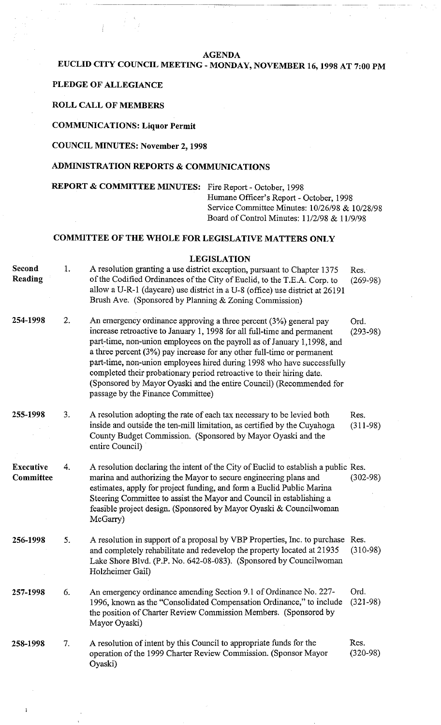#### **AGENDA**

## **EUCLID CITY COUNCIL MEETING** - **MONDAY, NOVEMBER 16,1998 AT 7:00 PM**

### **PLEDGE OF ALLEGIANCE**

**ROLL CALL OF MEMBERS** 

**COMMUNICATIONS: Liquor Permit** 

### **COUNCIL MINUTES: November 2,1998**

## **ADMINISTRATION REPORTS** & **COMMUNICATIONS**

**REPORT** & **COMMITTEE MINUTES:** Fire Report - October, 1998 Humane Officer's Report - October, 1998 Service Committee Minutes: 10/26/98 & 10/28/98 Board of Control Minutes: 1112198 & 11/9/98

## **COMMITTEE OF THE WHOLE FOR LEGISLATIVE MATTERS ONLY**

### **LEGISLATION**

| Second<br>Reading             | 1. | A resolution granting a use district exception, pursuant to Chapter 1375<br>of the Codified Ordinances of the City of Euclid, to the T.E.A. Corp. to<br>allow a U-R-1 (daycare) use district in a U-8 (office) use district at 26191<br>Brush Ave. (Sponsored by Planning & Zoning Commission)                                                                                                                                                                                                                                                                   | Res.<br>$(269-98)$ |
|-------------------------------|----|------------------------------------------------------------------------------------------------------------------------------------------------------------------------------------------------------------------------------------------------------------------------------------------------------------------------------------------------------------------------------------------------------------------------------------------------------------------------------------------------------------------------------------------------------------------|--------------------|
| 254-1998                      | 2. | An emergency ordinance approving a three percent (3%) general pay<br>increase retroactive to January 1, 1998 for all full-time and permanent<br>part-time, non-union employees on the payroll as of January 1,1998, and<br>a three percent (3%) pay increase for any other full-time or permanent<br>part-time, non-union employees hired during 1998 who have successfully<br>completed their probationary period retroactive to their hiring date.<br>(Sponsored by Mayor Oyaski and the entire Council) (Recommended for<br>passage by the Finance Committee) | Ord.<br>$(293-98)$ |
| 255-1998                      | 3. | A resolution adopting the rate of each tax necessary to be levied both<br>inside and outside the ten-mill limitation, as certified by the Cuyahoga<br>County Budget Commission. (Sponsored by Mayor Oyaski and the<br>entire Council)                                                                                                                                                                                                                                                                                                                            | Res.<br>$(311-98)$ |
| <b>Executive</b><br>Committee | 4. | A resolution declaring the intent of the City of Euclid to establish a public Res.<br>marina and authorizing the Mayor to secure engineering plans and<br>estimates, apply for project funding, and form a Euclid Public Marina<br>Steering Committee to assist the Mayor and Council in establishing a<br>feasible project design. (Sponsored by Mayor Oyaski & Councilwoman<br>McGarry)                                                                                                                                                                        | $(302 - 98)$       |
| 256-1998                      | 5. | A resolution in support of a proposal by VBP Properties, Inc. to purchase Res.<br>and completely rehabilitate and redevelop the property located at 21935<br>Lake Shore Blvd. (P.P. No. 642-08-083). (Sponsored by Councilwoman<br>Holzheimer Gail)                                                                                                                                                                                                                                                                                                              | $(310-98)$         |
| 257-1998                      | 6. | An emergency ordinance amending Section 9.1 of Ordinance No. 227-<br>1996, known as the "Consolidated Compensation Ordinance," to include<br>the position of Charter Review Commission Members. (Sponsored by<br>Mayor Oyaski)                                                                                                                                                                                                                                                                                                                                   | Ord.<br>$(321-98)$ |
| 258-1998                      | 7. | A resolution of intent by this Council to appropriate funds for the<br>operation of the 1999 Charter Review Commission. (Sponsor Mayor<br>Oyaski)                                                                                                                                                                                                                                                                                                                                                                                                                | Res.<br>$(320-98)$ |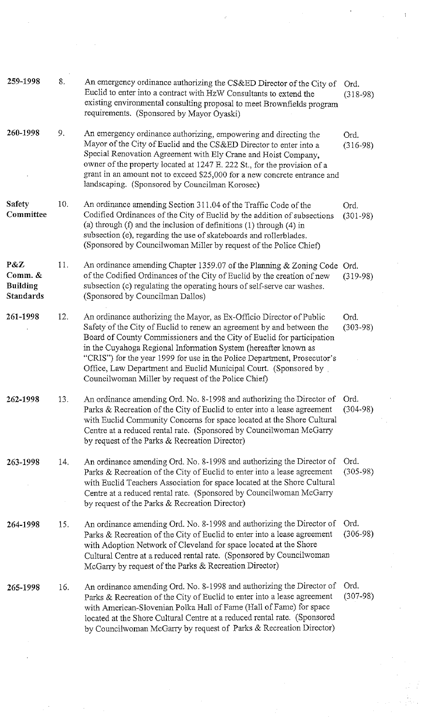| 259-1998                                              | 8.  | An emergency ordinance authorizing the CS&ED Director of the City of<br>Euclid to enter into a contract with HzW Consultants to extend the<br>existing environmental consulting proposal to meet Brownfields program<br>requirements. (Sponsored by Mayor Oyaski)                                                                                                                                                                                                                                 | Ord.<br>$(318-98)$   |
|-------------------------------------------------------|-----|---------------------------------------------------------------------------------------------------------------------------------------------------------------------------------------------------------------------------------------------------------------------------------------------------------------------------------------------------------------------------------------------------------------------------------------------------------------------------------------------------|----------------------|
| 260-1998                                              | 9.  | An emergency ordinance authorizing, empowering and directing the<br>Mayor of the City of Euclid and the CS&ED Director to enter into a<br>Special Renovation Agreement with Ely Crane and Hoist Company,<br>owner of the property located at 1247 E. 222 St., for the provision of a<br>grant in an amount not to exceed \$25,000 for a new concrete entrance and<br>landscaping. (Sponsored by Councilman Korosec)                                                                               | Ord.<br>$(316-98)$   |
| <b>Safety</b><br>Committee                            | 10. | An ordinance amending Section 311.04 of the Traffic Code of the<br>Codified Ordinances of the City of Euclid by the addition of subsections<br>(a) through $(f)$ and the inclusion of definitions $(1)$ through $(4)$ in<br>subsection (e), regarding the use of skateboards and rollerblades.<br>(Sponsored by Councilwoman Miller by request of the Police Chief)                                                                                                                               | Ord.<br>$(301 - 98)$ |
| P&Z<br>Comm. &<br><b>Building</b><br><b>Standards</b> | 11. | An ordinance amending Chapter 1359.07 of the Planning & Zoning Code<br>of the Codified Ordinances of the City of Euclid by the creation of new<br>subsection (c) regulating the operating hours of self-serve car washes.<br>(Sponsored by Councilman Dallos)                                                                                                                                                                                                                                     | Ord.<br>$(319-98)$   |
| 261-1998                                              | 12. | An ordinance authorizing the Mayor, as Ex-Officio Director of Public<br>Safety of the City of Euclid to renew an agreement by and between the<br>Board of County Commissioners and the City of Euclid for participation<br>in the Cuyahoga Regional Information System (hereafter known as<br>"CRIS") for the year 1999 for use in the Police Department, Prosecutor's<br>Office, Law Department and Euclid Municipal Court. (Sponsored by<br>Councilwoman Miller by request of the Police Chief) | Ord.<br>$(303 - 98)$ |
| 262-1998                                              | 13. | An ordinance amending Ord. No. 8-1998 and authorizing the Director of Ord.<br>Parks & Recreation of the City of Euclid to enter into a lease agreement<br>with Euclid Community Concerns for space located at the Shore Cultural<br>Centre at a reduced rental rate. (Sponsored by Councilwoman McGarry<br>by request of the Parks & Recreation Director)                                                                                                                                         | $(304-98)$           |
| 263-1998                                              | 14. | An ordinance amending Ord. No. 8-1998 and authorizing the Director of<br>Parks & Recreation of the City of Euclid to enter into a lease agreement<br>with Euclid Teachers Association for space located at the Shore Cultural<br>Centre at a reduced rental rate. (Sponsored by Councilwoman McGarry<br>by request of the Parks & Recreation Director)                                                                                                                                            | Ord.<br>$(305-98)$   |
| 264-1998                                              | 15. | An ordinance amending Ord. No. 8-1998 and authorizing the Director of<br>Parks & Recreation of the City of Euclid to enter into a lease agreement<br>with Adoption Network of Cleveland for space located at the Shore<br>Cultural Centre at a reduced rental rate. (Sponsored by Councilwoman<br>McGarry by request of the Parks & Recreation Director)                                                                                                                                          | Ord.<br>$(306-98)$   |
| 265-1998                                              | 16. | An ordinance amending Ord. No. 8-1998 and authorizing the Director of<br>Parks & Recreation of the City of Euclid to enter into a lease agreement<br>with American-Slovenian Polka Hall of Fame (Hall of Fame) for space<br>located at the Shore Cultural Centre at a reduced rental rate. (Sponsored<br>by Councilwoman McGarry by request of Parks & Recreation Director)                                                                                                                       | Ord.<br>$(307-98)$   |
|                                                       |     |                                                                                                                                                                                                                                                                                                                                                                                                                                                                                                   |                      |

 $\label{eq:2.1} \frac{1}{2}\sum_{i=1}^n\frac{1}{2}\sum_{j=1}^n\frac{1}{2}\sum_{j=1}^n\frac{1}{2}\sum_{j=1}^n\frac{1}{2}\sum_{j=1}^n\frac{1}{2}\sum_{j=1}^n\frac{1}{2}\sum_{j=1}^n\frac{1}{2}\sum_{j=1}^n\frac{1}{2}\sum_{j=1}^n\frac{1}{2}\sum_{j=1}^n\frac{1}{2}\sum_{j=1}^n\frac{1}{2}\sum_{j=1}^n\frac{1}{2}\sum_{j=1}^n\frac{1}{2}\sum_{j=1}^n\$